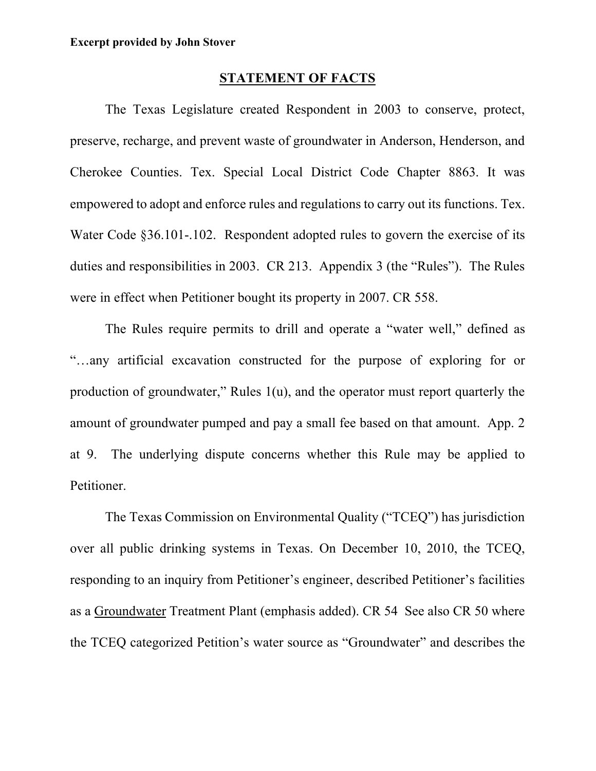## **STATEMENT OF FACTS**

The Texas Legislature created Respondent in 2003 to conserve, protect, preserve, recharge, and prevent waste of groundwater in Anderson, Henderson, and Cherokee Counties. Tex. Special Local District Code Chapter 8863. It was empowered to adopt and enforce rules and regulations to carry out its functions. Tex. Water Code §36.101-.102. Respondent adopted rules to govern the exercise of its duties and responsibilities in 2003. CR 213. Appendix 3 (the "Rules"). The Rules were in effect when Petitioner bought its property in 2007. CR 558.

The Rules require permits to drill and operate a "water well," defined as "…any artificial excavation constructed for the purpose of exploring for or production of groundwater," Rules 1(u), and the operator must report quarterly the amount of groundwater pumped and pay a small fee based on that amount. App. 2 at 9. The underlying dispute concerns whether this Rule may be applied to Petitioner.

The Texas Commission on Environmental Quality ("TCEQ") has jurisdiction over all public drinking systems in Texas. On December 10, 2010, the TCEQ, responding to an inquiry from Petitioner's engineer, described Petitioner's facilities as a Groundwater Treatment Plant (emphasis added). CR 54 See also CR 50 where the TCEQ categorized Petition's water source as "Groundwater" and describes the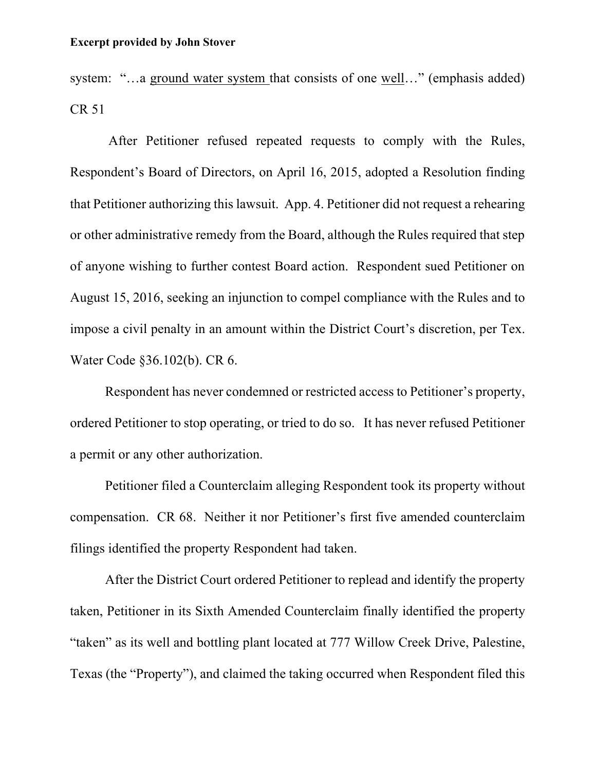## **Excerpt provided by John Stover**

system: "...a ground water system that consists of one well..." (emphasis added) CR 51

After Petitioner refused repeated requests to comply with the Rules, Respondent's Board of Directors, on April 16, 2015, adopted a Resolution finding that Petitioner authorizing this lawsuit. App. 4. Petitioner did not request a rehearing or other administrative remedy from the Board, although the Rules required that step of anyone wishing to further contest Board action. Respondent sued Petitioner on August 15, 2016, seeking an injunction to compel compliance with the Rules and to impose a civil penalty in an amount within the District Court's discretion, per Tex. Water Code §36.102(b). CR 6.

Respondent has never condemned or restricted access to Petitioner's property, ordered Petitioner to stop operating, or tried to do so. It has never refused Petitioner a permit or any other authorization.

Petitioner filed a Counterclaim alleging Respondent took its property without compensation. CR 68. Neither it nor Petitioner's first five amended counterclaim filings identified the property Respondent had taken.

After the District Court ordered Petitioner to replead and identify the property taken, Petitioner in its Sixth Amended Counterclaim finally identified the property "taken" as its well and bottling plant located at 777 Willow Creek Drive, Palestine, Texas (the "Property"), and claimed the taking occurred when Respondent filed this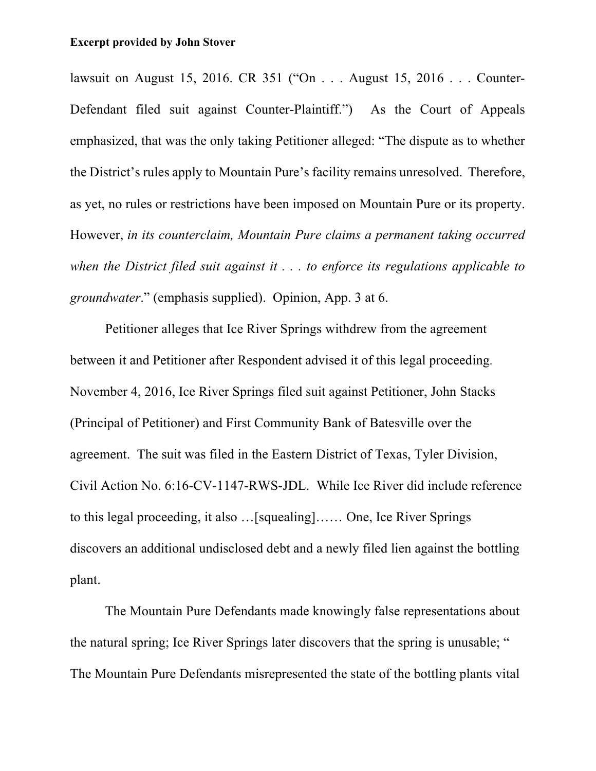## **Excerpt provided by John Stover**

lawsuit on August 15, 2016. CR 351 ("On . . . August 15, 2016 . . . Counter-Defendant filed suit against Counter-Plaintiff.") As the Court of Appeals emphasized, that was the only taking Petitioner alleged: "The dispute as to whether the District's rules apply to Mountain Pure's facility remains unresolved. Therefore, as yet, no rules or restrictions have been imposed on Mountain Pure or its property. However, *in its counterclaim, Mountain Pure claims a permanent taking occurred when the District filed suit against it . . . to enforce its regulations applicable to groundwater*." (emphasis supplied). Opinion, App. 3 at 6.

Petitioner alleges that Ice River Springs withdrew from the agreement between it and Petitioner after Respondent advised it of this legal proceeding. November 4, 2016, Ice River Springs filed suit against Petitioner, John Stacks (Principal of Petitioner) and First Community Bank of Batesville over the agreement. The suit was filed in the Eastern District of Texas, Tyler Division, Civil Action No. 6:16-CV-1147-RWS-JDL. While Ice River did include reference to this legal proceeding, it also …[squealing]…… One, Ice River Springs discovers an additional undisclosed debt and a newly filed lien against the bottling plant.

The Mountain Pure Defendants made knowingly false representations about the natural spring; Ice River Springs later discovers that the spring is unusable; " The Mountain Pure Defendants misrepresented the state of the bottling plants vital